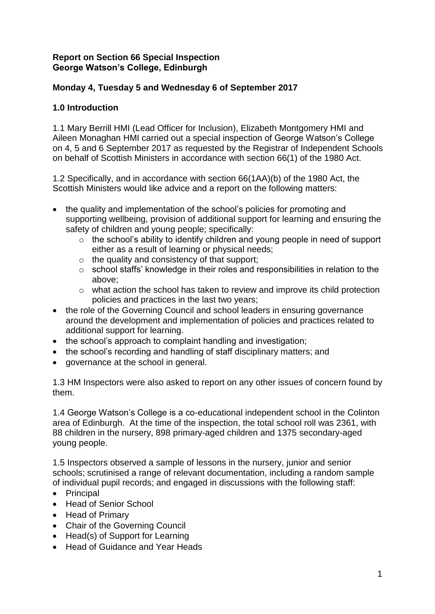### **Report on Section 66 Special Inspection George Watson's College, Edinburgh**

# **Monday 4, Tuesday 5 and Wednesday 6 of September 2017**

# **1.0 Introduction**

1.1 Mary Berrill HMI (Lead Officer for Inclusion), Elizabeth Montgomery HMI and Aileen Monaghan HMI carried out a special inspection of George Watson's College on 4, 5 and 6 September 2017 as requested by the Registrar of Independent Schools on behalf of Scottish Ministers in accordance with section 66(1) of the 1980 Act.

1.2 Specifically, and in accordance with section 66(1AA)(b) of the 1980 Act, the Scottish Ministers would like advice and a report on the following matters:

- the quality and implementation of the school's policies for promoting and supporting wellbeing, provision of additional support for learning and ensuring the safety of children and young people; specifically:
	- o the school's ability to identify children and young people in need of support either as a result of learning or physical needs;
	- $\circ$  the quality and consistency of that support;
	- o school staffs' knowledge in their roles and responsibilities in relation to the above;
	- o what action the school has taken to review and improve its child protection policies and practices in the last two years;
- the role of the Governing Council and school leaders in ensuring governance around the development and implementation of policies and practices related to additional support for learning.
- the school's approach to complaint handling and investigation:
- the school's recording and handling of staff disciplinary matters; and
- governance at the school in general.

1.3 HM Inspectors were also asked to report on any other issues of concern found by them.

1.4 George Watson's College is a co-educational independent school in the Colinton area of Edinburgh. At the time of the inspection, the total school roll was 2361, with 88 children in the nursery, 898 primary-aged children and 1375 secondary-aged young people.

1.5 Inspectors observed a sample of lessons in the nursery, junior and senior schools; scrutinised a range of relevant documentation, including a random sample of individual pupil records; and engaged in discussions with the following staff:

- Principal
- Head of Senior School
- Head of Primary
- Chair of the Governing Council
- Head(s) of Support for Learning
- Head of Guidance and Year Heads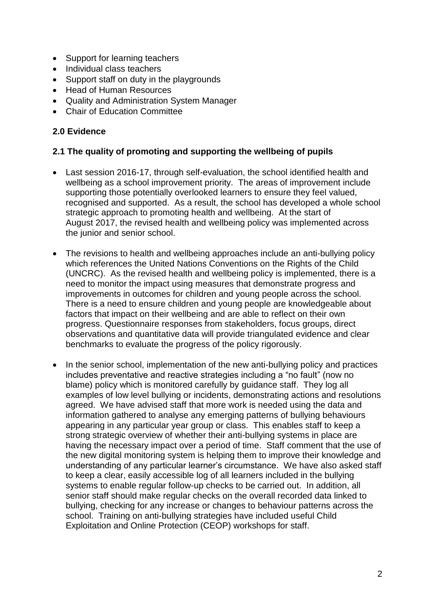- Support for learning teachers
- Individual class teachers
- Support staff on duty in the playgrounds
- Head of Human Resources
- Quality and Administration System Manager
- Chair of Education Committee

## **2.0 Evidence**

#### **2.1 The quality of promoting and supporting the wellbeing of pupils**

- Last session 2016-17, through self-evaluation, the school identified health and wellbeing as a school improvement priority. The areas of improvement include supporting those potentially overlooked learners to ensure they feel valued, recognised and supported. As a result, the school has developed a whole school strategic approach to promoting health and wellbeing. At the start of August 2017, the revised health and wellbeing policy was implemented across the junior and senior school.
- The revisions to health and wellbeing approaches include an anti-bullying policy which references the United Nations Conventions on the Rights of the Child (UNCRC). As the revised health and wellbeing policy is implemented, there is a need to monitor the impact using measures that demonstrate progress and improvements in outcomes for children and young people across the school. There is a need to ensure children and young people are knowledgeable about factors that impact on their wellbeing and are able to reflect on their own progress. Questionnaire responses from stakeholders, focus groups, direct observations and quantitative data will provide triangulated evidence and clear benchmarks to evaluate the progress of the policy rigorously.
- In the senior school, implementation of the new anti-bullying policy and practices includes preventative and reactive strategies including a "no fault" (now no blame) policy which is monitored carefully by guidance staff. They log all examples of low level bullying or incidents, demonstrating actions and resolutions agreed. We have advised staff that more work is needed using the data and information gathered to analyse any emerging patterns of bullying behaviours appearing in any particular year group or class. This enables staff to keep a strong strategic overview of whether their anti-bullying systems in place are having the necessary impact over a period of time. Staff comment that the use of the new digital monitoring system is helping them to improve their knowledge and understanding of any particular learner's circumstance. We have also asked staff to keep a clear, easily accessible log of all learners included in the bullying systems to enable regular follow-up checks to be carried out. In addition, all senior staff should make regular checks on the overall recorded data linked to bullying, checking for any increase or changes to behaviour patterns across the school. Training on anti-bullying strategies have included useful Child Exploitation and Online Protection (CEOP) workshops for staff.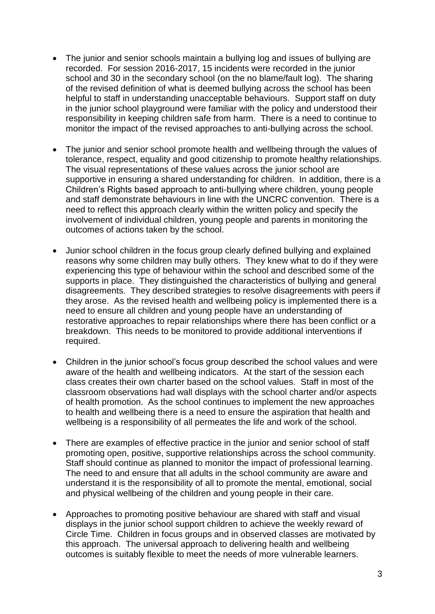- The junior and senior schools maintain a bullying log and issues of bullying are recorded. For session 2016-2017, 15 incidents were recorded in the junior school and 30 in the secondary school (on the no blame/fault log). The sharing of the revised definition of what is deemed bullying across the school has been helpful to staff in understanding unacceptable behaviours. Support staff on duty in the junior school playground were familiar with the policy and understood their responsibility in keeping children safe from harm. There is a need to continue to monitor the impact of the revised approaches to anti-bullying across the school.
- The junior and senior school promote health and wellbeing through the values of tolerance, respect, equality and good citizenship to promote healthy relationships. The visual representations of these values across the junior school are supportive in ensuring a shared understanding for children. In addition, there is a Children's Rights based approach to anti-bullying where children, young people and staff demonstrate behaviours in line with the UNCRC convention. There is a need to reflect this approach clearly within the written policy and specify the involvement of individual children, young people and parents in monitoring the outcomes of actions taken by the school.
- Junior school children in the focus group clearly defined bullying and explained reasons why some children may bully others. They knew what to do if they were experiencing this type of behaviour within the school and described some of the supports in place. They distinguished the characteristics of bullying and general disagreements. They described strategies to resolve disagreements with peers if they arose. As the revised health and wellbeing policy is implemented there is a need to ensure all children and young people have an understanding of restorative approaches to repair relationships where there has been conflict or a breakdown. This needs to be monitored to provide additional interventions if required.
- Children in the junior school's focus group described the school values and were aware of the health and wellbeing indicators. At the start of the session each class creates their own charter based on the school values. Staff in most of the classroom observations had wall displays with the school charter and/or aspects of health promotion. As the school continues to implement the new approaches to health and wellbeing there is a need to ensure the aspiration that health and wellbeing is a responsibility of all permeates the life and work of the school.
- There are examples of effective practice in the junior and senior school of staff promoting open, positive, supportive relationships across the school community. Staff should continue as planned to monitor the impact of professional learning. The need to and ensure that all adults in the school community are aware and understand it is the responsibility of all to promote the mental, emotional, social and physical wellbeing of the children and young people in their care.
- Approaches to promoting positive behaviour are shared with staff and visual displays in the junior school support children to achieve the weekly reward of Circle Time. Children in focus groups and in observed classes are motivated by this approach. The universal approach to delivering health and wellbeing outcomes is suitably flexible to meet the needs of more vulnerable learners.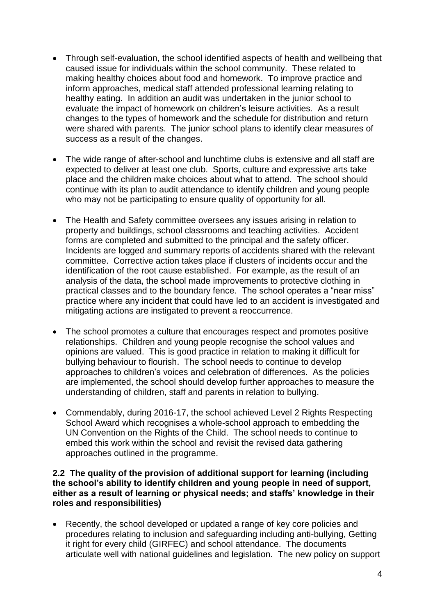- Through self-evaluation, the school identified aspects of health and wellbeing that caused issue for individuals within the school community. These related to making healthy choices about food and homework. To improve practice and inform approaches, medical staff attended professional learning relating to healthy eating. In addition an audit was undertaken in the junior school to evaluate the impact of homework on children's leisure activities. As a result changes to the types of homework and the schedule for distribution and return were shared with parents. The junior school plans to identify clear measures of success as a result of the changes.
- The wide range of after-school and lunchtime clubs is extensive and all staff are expected to deliver at least one club. Sports, culture and expressive arts take place and the children make choices about what to attend. The school should continue with its plan to audit attendance to identify children and young people who may not be participating to ensure quality of opportunity for all.
- The Health and Safety committee oversees any issues arising in relation to property and buildings, school classrooms and teaching activities. Accident forms are completed and submitted to the principal and the safety officer. Incidents are logged and summary reports of accidents shared with the relevant committee. Corrective action takes place if clusters of incidents occur and the identification of the root cause established. For example, as the result of an analysis of the data, the school made improvements to protective clothing in practical classes and to the boundary fence. The school operates a "near miss" practice where any incident that could have led to an accident is investigated and mitigating actions are instigated to prevent a reoccurrence.
- The school promotes a culture that encourages respect and promotes positive relationships. Children and young people recognise the school values and opinions are valued. This is good practice in relation to making it difficult for bullying behaviour to flourish. The school needs to continue to develop approaches to children's voices and celebration of differences. As the policies are implemented, the school should develop further approaches to measure the understanding of children, staff and parents in relation to bullying.
- Commendably, during 2016-17, the school achieved Level 2 Rights Respecting School Award which recognises a whole-school approach to embedding the UN Convention on the Rights of the Child. The school needs to continue to embed this work within the school and revisit the revised data gathering approaches outlined in the programme.

#### **2.2 The quality of the provision of additional support for learning (including the school's ability to identify children and young people in need of support, either as a result of learning or physical needs; and staffs' knowledge in their roles and responsibilities)**

• Recently, the school developed or updated a range of key core policies and procedures relating to inclusion and safeguarding including anti-bullying, Getting it right for every child (GIRFEC) and school attendance. The documents articulate well with national guidelines and legislation. The new policy on support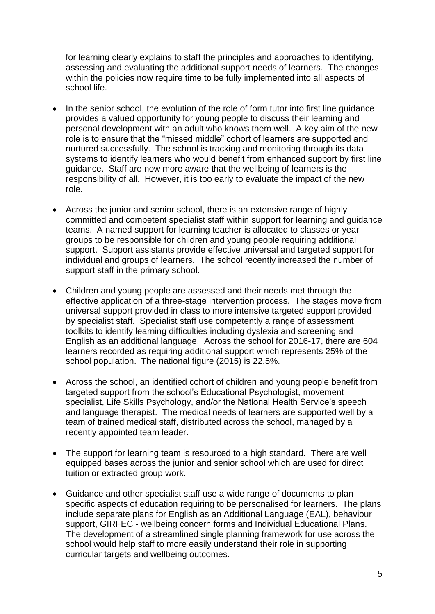for learning clearly explains to staff the principles and approaches to identifying, assessing and evaluating the additional support needs of learners. The changes within the policies now require time to be fully implemented into all aspects of school life.

- In the senior school, the evolution of the role of form tutor into first line quidance provides a valued opportunity for young people to discuss their learning and personal development with an adult who knows them well. A key aim of the new role is to ensure that the "missed middle" cohort of learners are supported and nurtured successfully. The school is tracking and monitoring through its data systems to identify learners who would benefit from enhanced support by first line guidance. Staff are now more aware that the wellbeing of learners is the responsibility of all. However, it is too early to evaluate the impact of the new role.
- Across the junior and senior school, there is an extensive range of highly committed and competent specialist staff within support for learning and guidance teams. A named support for learning teacher is allocated to classes or year groups to be responsible for children and young people requiring additional support. Support assistants provide effective universal and targeted support for individual and groups of learners. The school recently increased the number of support staff in the primary school.
- Children and young people are assessed and their needs met through the effective application of a three-stage intervention process. The stages move from universal support provided in class to more intensive targeted support provided by specialist staff. Specialist staff use competently a range of assessment toolkits to identify learning difficulties including dyslexia and screening and English as an additional language. Across the school for 2016-17, there are 604 learners recorded as requiring additional support which represents 25% of the school population. The national figure (2015) is 22.5%.
- Across the school, an identified cohort of children and young people benefit from targeted support from the school's Educational Psychologist, movement specialist, Life Skills Psychology, and/or the National Health Service's speech and language therapist. The medical needs of learners are supported well by a team of trained medical staff, distributed across the school, managed by a recently appointed team leader.
- The support for learning team is resourced to a high standard. There are well equipped bases across the junior and senior school which are used for direct tuition or extracted group work.
- Guidance and other specialist staff use a wide range of documents to plan specific aspects of education requiring to be personalised for learners. The plans include separate plans for English as an Additional Language (EAL), behaviour support, GIRFEC - wellbeing concern forms and Individual Educational Plans. The development of a streamlined single planning framework for use across the school would help staff to more easily understand their role in supporting curricular targets and wellbeing outcomes.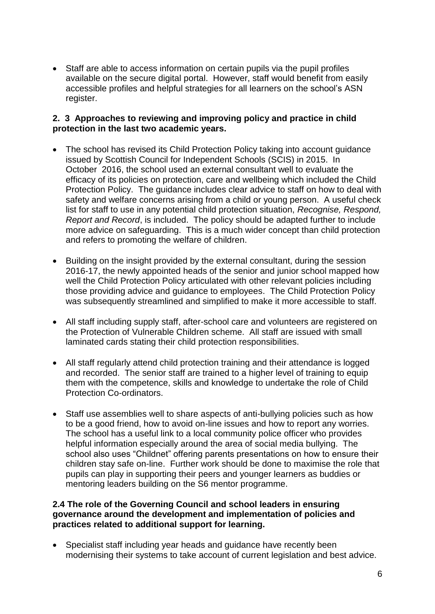Staff are able to access information on certain pupils via the pupil profiles available on the secure digital portal. However, staff would benefit from easily accessible profiles and helpful strategies for all learners on the school's ASN register.

### **2. 3 Approaches to reviewing and improving policy and practice in child protection in the last two academic years.**

- The school has revised its Child Protection Policy taking into account quidance issued by Scottish Council for Independent Schools (SCIS) in 2015. In October 2016, the school used an external consultant well to evaluate the efficacy of its policies on protection, care and wellbeing which included the Child Protection Policy. The guidance includes clear advice to staff on how to deal with safety and welfare concerns arising from a child or young person. A useful check list for staff to use in any potential child protection situation, *Recognise, Respond, Report and Record*, is included. The policy should be adapted further to include more advice on safeguarding. This is a much wider concept than child protection and refers to promoting the welfare of children.
- Building on the insight provided by the external consultant, during the session 2016-17, the newly appointed heads of the senior and junior school mapped how well the Child Protection Policy articulated with other relevant policies including those providing advice and guidance to employees. The Child Protection Policy was subsequently streamlined and simplified to make it more accessible to staff.
- All staff including supply staff, after-school care and volunteers are registered on the Protection of Vulnerable Children scheme. All staff are issued with small laminated cards stating their child protection responsibilities.
- All staff regularly attend child protection training and their attendance is logged and recorded. The senior staff are trained to a higher level of training to equip them with the competence, skills and knowledge to undertake the role of Child Protection Co-ordinators.
- Staff use assemblies well to share aspects of anti-bullying policies such as how to be a good friend, how to avoid on-line issues and how to report any worries. The school has a useful link to a local community police officer who provides helpful information especially around the area of social media bullying. The school also uses "Childnet" offering parents presentations on how to ensure their children stay safe on-line. Further work should be done to maximise the role that pupils can play in supporting their peers and younger learners as buddies or mentoring leaders building on the S6 mentor programme.

### **2.4 The role of the Governing Council and school leaders in ensuring governance around the development and implementation of policies and practices related to additional support for learning.**

• Specialist staff including year heads and quidance have recently been modernising their systems to take account of current legislation and best advice.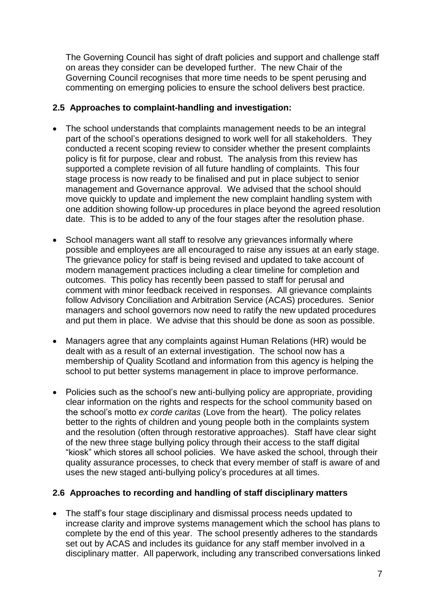The Governing Council has sight of draft policies and support and challenge staff on areas they consider can be developed further. The new Chair of the Governing Council recognises that more time needs to be spent perusing and commenting on emerging policies to ensure the school delivers best practice.

## **2.5 Approaches to complaint-handling and investigation:**

- The school understands that complaints management needs to be an integral part of the school's operations designed to work well for all stakeholders. They conducted a recent scoping review to consider whether the present complaints policy is fit for purpose, clear and robust. The analysis from this review has supported a complete revision of all future handling of complaints. This four stage process is now ready to be finalised and put in place subject to senior management and Governance approval. We advised that the school should move quickly to update and implement the new complaint handling system with one addition showing follow-up procedures in place beyond the agreed resolution date. This is to be added to any of the four stages after the resolution phase.
- School managers want all staff to resolve any grievances informally where possible and employees are all encouraged to raise any issues at an early stage. The grievance policy for staff is being revised and updated to take account of modern management practices including a clear timeline for completion and outcomes. This policy has recently been passed to staff for perusal and comment with minor feedback received in responses. All grievance complaints follow Advisory Conciliation and Arbitration Service (ACAS) procedures. Senior managers and school governors now need to ratify the new updated procedures and put them in place. We advise that this should be done as soon as possible.
- Managers agree that any complaints against Human Relations (HR) would be dealt with as a result of an external investigation. The school now has a membership of Quality Scotland and information from this agency is helping the school to put better systems management in place to improve performance.
- Policies such as the school's new anti-bullying policy are appropriate, providing clear information on the rights and respects for the school community based on the school's motto *ex corde caritas* (Love from the heart). The policy relates better to the rights of children and young people both in the complaints system and the resolution (often through restorative approaches). Staff have clear sight of the new three stage bullying policy through their access to the staff digital "kiosk" which stores all school policies. We have asked the school, through their quality assurance processes, to check that every member of staff is aware of and uses the new staged anti-bullying policy's procedures at all times.

#### **2.6 Approaches to recording and handling of staff disciplinary matters**

• The staff's four stage disciplinary and dismissal process needs updated to increase clarity and improve systems management which the school has plans to complete by the end of this year. The school presently adheres to the standards set out by ACAS and includes its guidance for any staff member involved in a disciplinary matter. All paperwork, including any transcribed conversations linked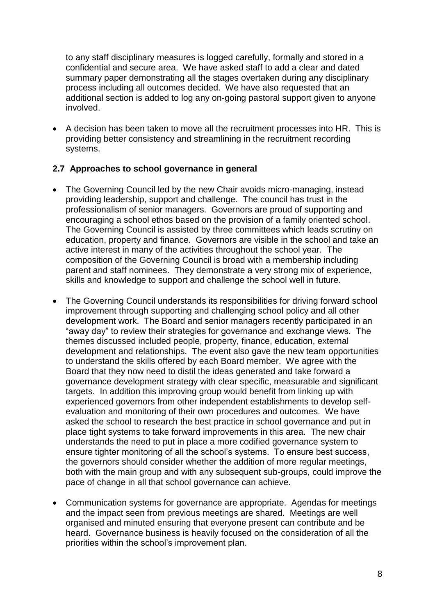to any staff disciplinary measures is logged carefully, formally and stored in a confidential and secure area. We have asked staff to add a clear and dated summary paper demonstrating all the stages overtaken during any disciplinary process including all outcomes decided. We have also requested that an additional section is added to log any on-going pastoral support given to anyone involved.

 A decision has been taken to move all the recruitment processes into HR. This is providing better consistency and streamlining in the recruitment recording systems.

### **2.7 Approaches to school governance in general**

- The Governing Council led by the new Chair avoids micro-managing, instead providing leadership, support and challenge. The council has trust in the professionalism of senior managers. Governors are proud of supporting and encouraging a school ethos based on the provision of a family oriented school. The Governing Council is assisted by three committees which leads scrutiny on education, property and finance. Governors are visible in the school and take an active interest in many of the activities throughout the school year. The composition of the Governing Council is broad with a membership including parent and staff nominees. They demonstrate a very strong mix of experience, skills and knowledge to support and challenge the school well in future.
- The Governing Council understands its responsibilities for driving forward school improvement through supporting and challenging school policy and all other development work. The Board and senior managers recently participated in an "away day" to review their strategies for governance and exchange views. The themes discussed included people, property, finance, education, external development and relationships. The event also gave the new team opportunities to understand the skills offered by each Board member. We agree with the Board that they now need to distil the ideas generated and take forward a governance development strategy with clear specific, measurable and significant targets. In addition this improving group would benefit from linking up with experienced governors from other independent establishments to develop selfevaluation and monitoring of their own procedures and outcomes. We have asked the school to research the best practice in school governance and put in place tight systems to take forward improvements in this area. The new chair understands the need to put in place a more codified governance system to ensure tighter monitoring of all the school's systems. To ensure best success, the governors should consider whether the addition of more regular meetings, both with the main group and with any subsequent sub-groups, could improve the pace of change in all that school governance can achieve.
- Communication systems for governance are appropriate. Agendas for meetings and the impact seen from previous meetings are shared. Meetings are well organised and minuted ensuring that everyone present can contribute and be heard. Governance business is heavily focused on the consideration of all the priorities within the school's improvement plan.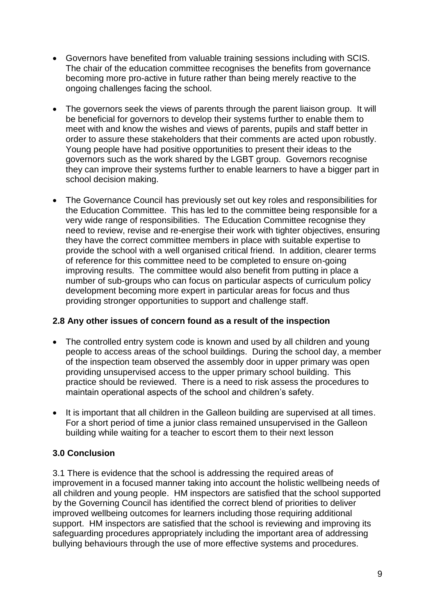- Governors have benefited from valuable training sessions including with SCIS. The chair of the education committee recognises the benefits from governance becoming more pro-active in future rather than being merely reactive to the ongoing challenges facing the school.
- The governors seek the views of parents through the parent liaison group. It will be beneficial for governors to develop their systems further to enable them to meet with and know the wishes and views of parents, pupils and staff better in order to assure these stakeholders that their comments are acted upon robustly. Young people have had positive opportunities to present their ideas to the governors such as the work shared by the LGBT group. Governors recognise they can improve their systems further to enable learners to have a bigger part in school decision making.
- The Governance Council has previously set out key roles and responsibilities for the Education Committee. This has led to the committee being responsible for a very wide range of responsibilities. The Education Committee recognise they need to review, revise and re-energise their work with tighter objectives, ensuring they have the correct committee members in place with suitable expertise to provide the school with a well organised critical friend. In addition, clearer terms of reference for this committee need to be completed to ensure on-going improving results. The committee would also benefit from putting in place a number of sub-groups who can focus on particular aspects of curriculum policy development becoming more expert in particular areas for focus and thus providing stronger opportunities to support and challenge staff.

## **2.8 Any other issues of concern found as a result of the inspection**

- The controlled entry system code is known and used by all children and young people to access areas of the school buildings. During the school day, a member of the inspection team observed the assembly door in upper primary was open providing unsupervised access to the upper primary school building. This practice should be reviewed. There is a need to risk assess the procedures to maintain operational aspects of the school and children's safety.
- It is important that all children in the Galleon building are supervised at all times. For a short period of time a junior class remained unsupervised in the Galleon building while waiting for a teacher to escort them to their next lesson

## **3.0 Conclusion**

3.1 There is evidence that the school is addressing the required areas of improvement in a focused manner taking into account the holistic wellbeing needs of all children and young people. HM inspectors are satisfied that the school supported by the Governing Council has identified the correct blend of priorities to deliver improved wellbeing outcomes for learners including those requiring additional support. HM inspectors are satisfied that the school is reviewing and improving its safeguarding procedures appropriately including the important area of addressing bullying behaviours through the use of more effective systems and procedures.